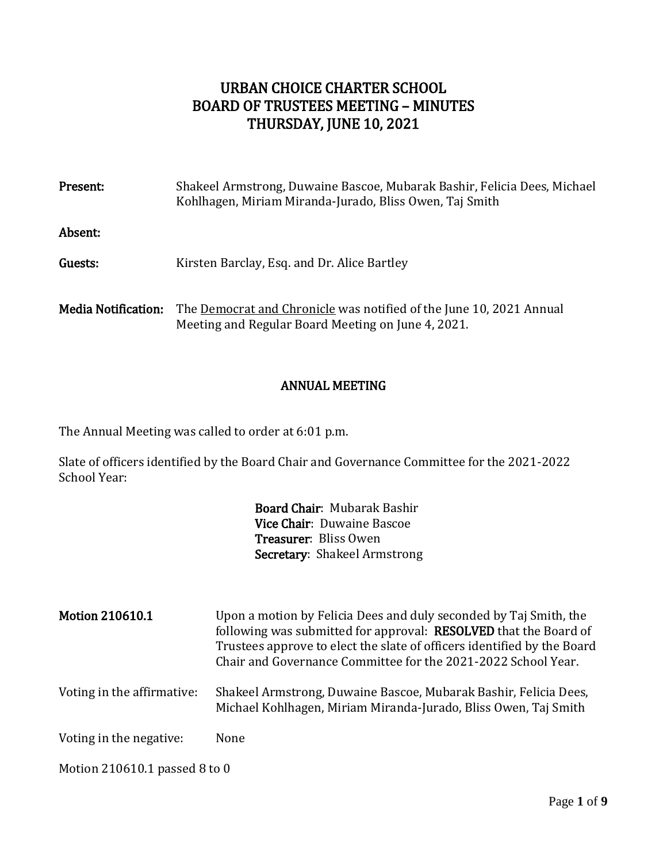# URBAN CHOICE CHARTER SCHOOL BOARD OF TRUSTEES MEETING – MINUTES THURSDAY, JUNE 10, 2021

| Present:                   | Shakeel Armstrong, Duwaine Bascoe, Mubarak Bashir, Felicia Dees, Michael<br>Kohlhagen, Miriam Miranda-Jurado, Bliss Owen, Taj Smith |
|----------------------------|-------------------------------------------------------------------------------------------------------------------------------------|
| Absent:                    |                                                                                                                                     |
| Guests:                    | Kirsten Barclay, Esq. and Dr. Alice Bartley                                                                                         |
| <b>Media Notification:</b> | The Democrat and Chronicle was notified of the June 10, 2021 Annual<br>Meeting and Regular Board Meeting on June 4, 2021.           |

#### ANNUAL MEETING

The Annual Meeting was called to order at 6:01 p.m.

Slate of officers identified by the Board Chair and Governance Committee for the 2021-2022 School Year:

> Board Chair: Mubarak Bashir Vice Chair: Duwaine Bascoe Treasurer: Bliss Owen Secretary: Shakeel Armstrong

| <b>Motion 210610.1</b>        | Upon a motion by Felicia Dees and duly seconded by Taj Smith, the<br>following was submitted for approval: RESOLVED that the Board of<br>Trustees approve to elect the slate of officers identified by the Board<br>Chair and Governance Committee for the 2021-2022 School Year. |
|-------------------------------|-----------------------------------------------------------------------------------------------------------------------------------------------------------------------------------------------------------------------------------------------------------------------------------|
| Voting in the affirmative:    | Shakeel Armstrong, Duwaine Bascoe, Mubarak Bashir, Felicia Dees,<br>Michael Kohlhagen, Miriam Miranda-Jurado, Bliss Owen, Taj Smith                                                                                                                                               |
| Voting in the negative:       | None                                                                                                                                                                                                                                                                              |
| Motion 210610.1 passed 8 to 0 |                                                                                                                                                                                                                                                                                   |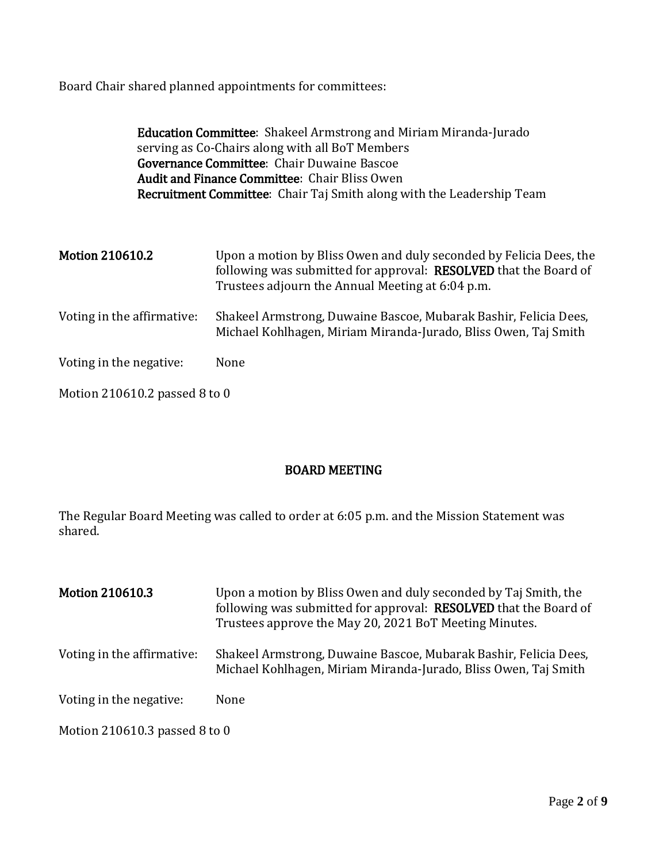Board Chair shared planned appointments for committees:

Education Committee: Shakeel Armstrong and Miriam Miranda-Jurado serving as Co-Chairs along with all BoT Members Governance Committee: Chair Duwaine Bascoe Audit and Finance Committee: Chair Bliss Owen Recruitment Committee: Chair Taj Smith along with the Leadership Team

| <b>Motion 210610.2</b>        | Upon a motion by Bliss Owen and duly seconded by Felicia Dees, the<br>following was submitted for approval: RESOLVED that the Board of<br>Trustees adjourn the Annual Meeting at 6:04 p.m. |
|-------------------------------|--------------------------------------------------------------------------------------------------------------------------------------------------------------------------------------------|
| Voting in the affirmative:    | Shakeel Armstrong, Duwaine Bascoe, Mubarak Bashir, Felicia Dees,<br>Michael Kohlhagen, Miriam Miranda-Jurado, Bliss Owen, Taj Smith                                                        |
| Voting in the negative:       | None                                                                                                                                                                                       |
| Motion 210610.2 passed 8 to 0 |                                                                                                                                                                                            |

## BOARD MEETING

The Regular Board Meeting was called to order at 6:05 p.m. and the Mission Statement was shared.

| <b>Motion 210610.3</b>        | Upon a motion by Bliss Owen and duly seconded by Taj Smith, the<br>following was submitted for approval: RESOLVED that the Board of<br>Trustees approve the May 20, 2021 BoT Meeting Minutes. |
|-------------------------------|-----------------------------------------------------------------------------------------------------------------------------------------------------------------------------------------------|
| Voting in the affirmative:    | Shakeel Armstrong, Duwaine Bascoe, Mubarak Bashir, Felicia Dees,<br>Michael Kohlhagen, Miriam Miranda-Jurado, Bliss Owen, Taj Smith                                                           |
| Voting in the negative:       | None                                                                                                                                                                                          |
| Motion 210610.3 passed 8 to 0 |                                                                                                                                                                                               |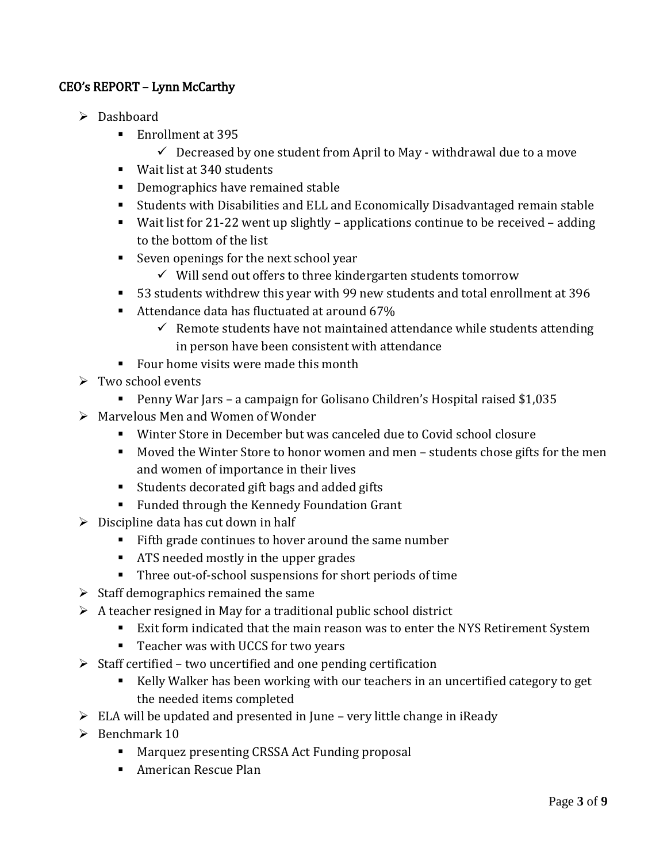# CEO's REPORT – Lynn McCarthy

- > Dashboard
	- Enrollment at 395
		- $\checkmark$  Decreased by one student from April to May withdrawal due to a move
	- Wait list at 340 students
	- **•** Demographics have remained stable
	- Students with Disabilities and ELL and Economically Disadvantaged remain stable
	- Wait list for 21-22 went up slightly applications continue to be received adding to the bottom of the list
	- Seven openings for the next school year
		- $\checkmark$  Will send out offers to three kindergarten students tomorrow
	- 53 students withdrew this year with 99 new students and total enrollment at 396
	- Attendance data has fluctuated at around 67%
		- $\checkmark$  Remote students have not maintained attendance while students attending in person have been consistent with attendance
	- Four home visits were made this month
- $\triangleright$  Two school events
	- Penny War Jars a campaign for Golisano Children's Hospital raised \$1,035
- $\triangleright$  Marvelous Men and Women of Wonder
	- Winter Store in December but was canceled due to Covid school closure
	- Moved the Winter Store to honor women and men students chose gifts for the men and women of importance in their lives
	- Students decorated gift bags and added gifts
	- **Funded through the Kennedy Foundation Grant**
- $\triangleright$  Discipline data has cut down in half
	- Fifth grade continues to hover around the same number
	- **ATS needed mostly in the upper grades**
	- Three out-of-school suspensions for short periods of time
- $\triangleright$  Staff demographics remained the same
- $\triangleright$  A teacher resigned in May for a traditional public school district
	- Exit form indicated that the main reason was to enter the NYS Retirement System
	- Teacher was with UCCS for two years
- $\triangleright$  Staff certified two uncertified and one pending certification
	- Kelly Walker has been working with our teachers in an uncertified category to get the needed items completed
- $\triangleright$  ELA will be updated and presented in June very little change in iReady
- $\triangleright$  Benchmark 10
	- Marquez presenting CRSSA Act Funding proposal
	- **American Rescue Plan**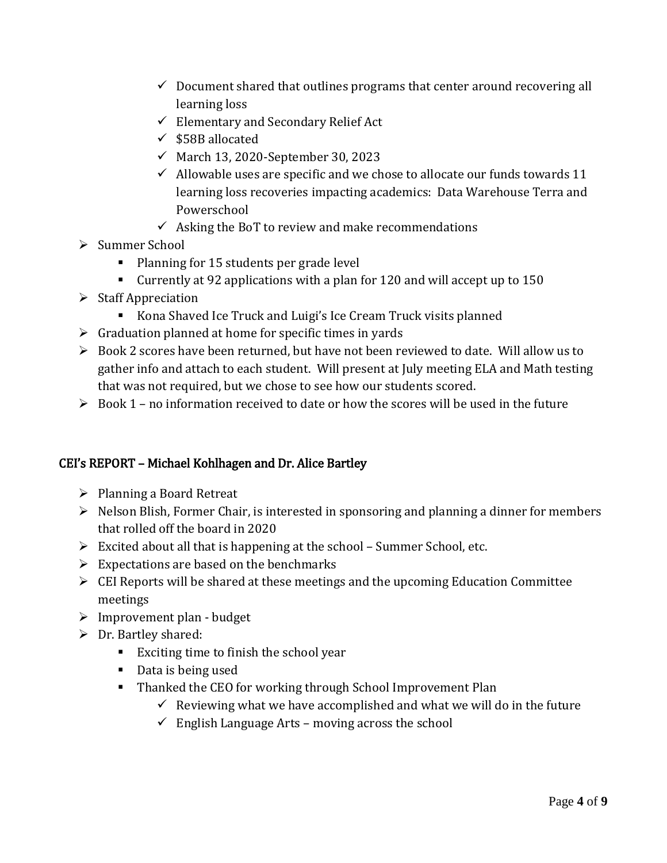- $\checkmark$  Document shared that outlines programs that center around recovering all learning loss
- $\checkmark$  Elementary and Secondary Relief Act
- $\checkmark$  \$58B allocated
- $\checkmark$  March 13, 2020-September 30, 2023
- $\checkmark$  Allowable uses are specific and we chose to allocate our funds towards 11 learning loss recoveries impacting academics: Data Warehouse Terra and Powerschool
- $\checkmark$  Asking the BoT to review and make recommendations
- $\triangleright$  Summer School
	- **Planning for 15 students per grade level**
	- Currently at 92 applications with a plan for 120 and will accept up to 150
- $\triangleright$  Staff Appreciation
	- Kona Shaved Ice Truck and Luigi's Ice Cream Truck visits planned
- $\triangleright$  Graduation planned at home for specific times in yards
- Book 2 scores have been returned, but have not been reviewed to date. Will allow us to gather info and attach to each student. Will present at July meeting ELA and Math testing that was not required, but we chose to see how our students scored.
- $\triangleright$  Book 1 no information received to date or how the scores will be used in the future

# CEI's REPORT – Michael Kohlhagen and Dr. Alice Bartley

- $\triangleright$  Planning a Board Retreat
- $\triangleright$  Nelson Blish, Former Chair, is interested in sponsoring and planning a dinner for members that rolled off the board in 2020
- $\triangleright$  Excited about all that is happening at the school Summer School, etc.
- $\triangleright$  Expectations are based on the benchmarks
- $\triangleright$  CEI Reports will be shared at these meetings and the upcoming Education Committee meetings
- $\triangleright$  Improvement plan budget
- $\triangleright$  Dr. Bartley shared:
	- Exciting time to finish the school year
	- Data is being used
	- Thanked the CEO for working through School Improvement Plan
		- $\checkmark$  Reviewing what we have accomplished and what we will do in the future
		- $\checkmark$  English Language Arts moving across the school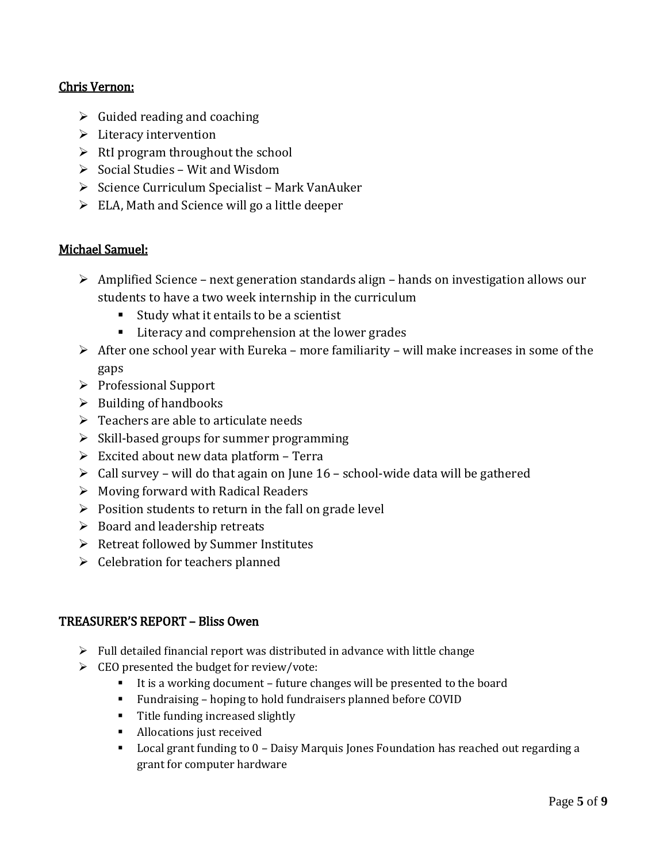## Chris Vernon:

- $\triangleright$  Guided reading and coaching
- $\triangleright$  Literacy intervention
- $\triangleright$  RtI program throughout the school
- $\triangleright$  Social Studies Wit and Wisdom
- $\triangleright$  Science Curriculum Specialist Mark VanAuker
- $\triangleright$  ELA, Math and Science will go a little deeper

## Michael Samuel:

- $\triangleright$  Amplified Science next generation standards align hands on investigation allows our students to have a two week internship in the curriculum
	- Study what it entails to be a scientist
	- **Literacy and comprehension at the lower grades**
- $\triangleright$  After one school year with Eureka more familiarity will make increases in some of the gaps
- Professional Support
- $\triangleright$  Building of handbooks
- $\triangleright$  Teachers are able to articulate needs
- $\triangleright$  Skill-based groups for summer programming
- $\triangleright$  Excited about new data platform Terra
- $\triangleright$  Call survey will do that again on June 16 school-wide data will be gathered
- $\triangleright$  Moving forward with Radical Readers
- $\triangleright$  Position students to return in the fall on grade level
- $\triangleright$  Board and leadership retreats
- $\triangleright$  Retreat followed by Summer Institutes
- $\triangleright$  Celebration for teachers planned

## TREASURER'S REPORT – Bliss Owen

- $\triangleright$  Full detailed financial report was distributed in advance with little change
- $\triangleright$  CEO presented the budget for review/vote:
	- It is a working document future changes will be presented to the board
	- Fundraising hoping to hold fundraisers planned before COVID
	- **Title funding increased slightly**
	- **Allocations just received**
	- Local grant funding to 0 Daisy Marquis Jones Foundation has reached out regarding a grant for computer hardware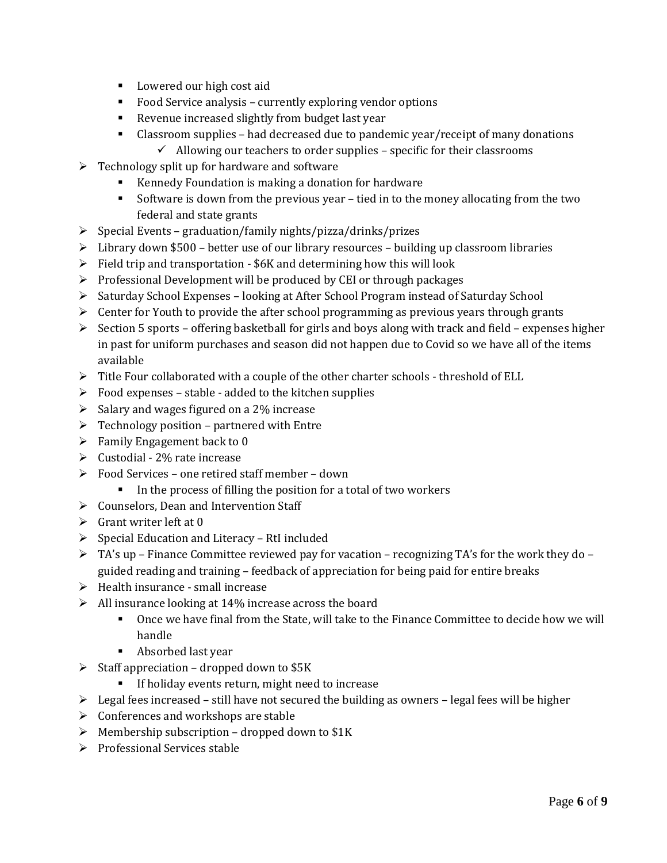- **Lowered our high cost aid**
- Food Service analysis currently exploring vendor options
- Revenue increased slightly from budget last year
- Classroom supplies had decreased due to pandemic year/receipt of many donations
	- $\checkmark$  Allowing our teachers to order supplies specific for their classrooms
- $\triangleright$  Technology split up for hardware and software
	- Kennedy Foundation is making a donation for hardware
	- Software is down from the previous year tied in to the money allocating from the two federal and state grants
- $\triangleright$  Special Events graduation/family nights/pizza/drinks/prizes
- $\triangleright$  Library down \$500 better use of our library resources building up classroom libraries
- $\triangleright$  Field trip and transportation \$6K and determining how this will look
- $\triangleright$  Professional Development will be produced by CEI or through packages
- $\triangleright$  Saturday School Expenses looking at After School Program instead of Saturday School
- $\triangleright$  Center for Youth to provide the after school programming as previous years through grants
- $\triangleright$  Section 5 sports offering basketball for girls and boys along with track and field expenses higher in past for uniform purchases and season did not happen due to Covid so we have all of the items available
- Fitle Four collaborated with a couple of the other charter schools threshold of ELL
- $\triangleright$  Food expenses stable added to the kitchen supplies
- $\triangleright$  Salary and wages figured on a 2% increase
- $\triangleright$  Technology position partnered with Entre
- $\triangleright$  Family Engagement back to 0
- $\triangleright$  Custodial 2% rate increase
- Food Services one retired staff member down
	- In the process of filling the position for a total of two workers
- $\triangleright$  Counselors, Dean and Intervention Staff
- $\triangleright$  Grant writer left at 0
- $\triangleright$  Special Education and Literacy RtI included
- $\triangleright$  TA's up Finance Committee reviewed pay for vacation recognizing TA's for the work they do guided reading and training – feedback of appreciation for being paid for entire breaks
- $\triangleright$  Health insurance small increase
- $\triangleright$  All insurance looking at 14% increase across the board
	- Once we have final from the State, will take to the Finance Committee to decide how we will handle
	- Absorbed last year
- $\triangleright$  Staff appreciation dropped down to \$5K
	- **If holiday events return, might need to increase**
- $\triangleright$  Legal fees increased still have not secured the building as owners legal fees will be higher
- $\triangleright$  Conferences and workshops are stable
- $\triangleright$  Membership subscription dropped down to \$1K
- $\triangleright$  Professional Services stable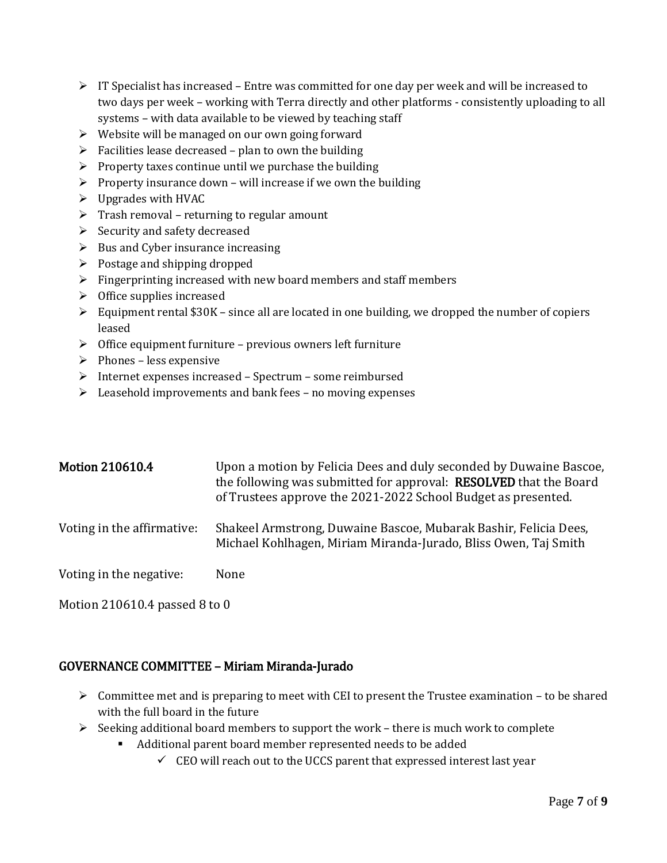- $\triangleright$  IT Specialist has increased Entre was committed for one day per week and will be increased to two days per week – working with Terra directly and other platforms - consistently uploading to all systems – with data available to be viewed by teaching staff
- $\triangleright$  Website will be managed on our own going forward
- $\triangleright$  Facilities lease decreased plan to own the building
- $\triangleright$  Property taxes continue until we purchase the building
- $\triangleright$  Property insurance down will increase if we own the building
- $\triangleright$  Upgrades with HVAC
- $\triangleright$  Trash removal returning to regular amount
- $\triangleright$  Security and safety decreased
- $\triangleright$  Bus and Cyber insurance increasing
- $\triangleright$  Postage and shipping dropped
- $\triangleright$  Fingerprinting increased with new board members and staff members
- $\triangleright$  Office supplies increased
- $\triangleright$  Equipment rental \$30K since all are located in one building, we dropped the number of copiers leased
- $\triangleright$  Office equipment furniture previous owners left furniture
- $\triangleright$  Phones less expensive
- $\triangleright$  Internet expenses increased Spectrum some reimbursed
- $\triangleright$  Leasehold improvements and bank fees no moving expenses

| <b>Motion 210610.4</b>     | Upon a motion by Felicia Dees and duly seconded by Duwaine Bascoe,<br>the following was submitted for approval: RESOLVED that the Board<br>of Trustees approve the 2021-2022 School Budget as presented. |
|----------------------------|----------------------------------------------------------------------------------------------------------------------------------------------------------------------------------------------------------|
| Voting in the affirmative: | Shakeel Armstrong, Duwaine Bascoe, Mubarak Bashir, Felicia Dees,<br>Michael Kohlhagen, Miriam Miranda-Jurado, Bliss Owen, Taj Smith                                                                      |
| Voting in the negative:    | None                                                                                                                                                                                                     |

Motion 210610.4 passed 8 to 0

## GOVERNANCE COMMITTEE – Miriam Miranda-Jurado

- $\triangleright$  Committee met and is preparing to meet with CEI to present the Trustee examination to be shared with the full board in the future
- $\triangleright$  Seeking additional board members to support the work there is much work to complete
	- Additional parent board member represented needs to be added
		- $\checkmark$  CEO will reach out to the UCCS parent that expressed interest last year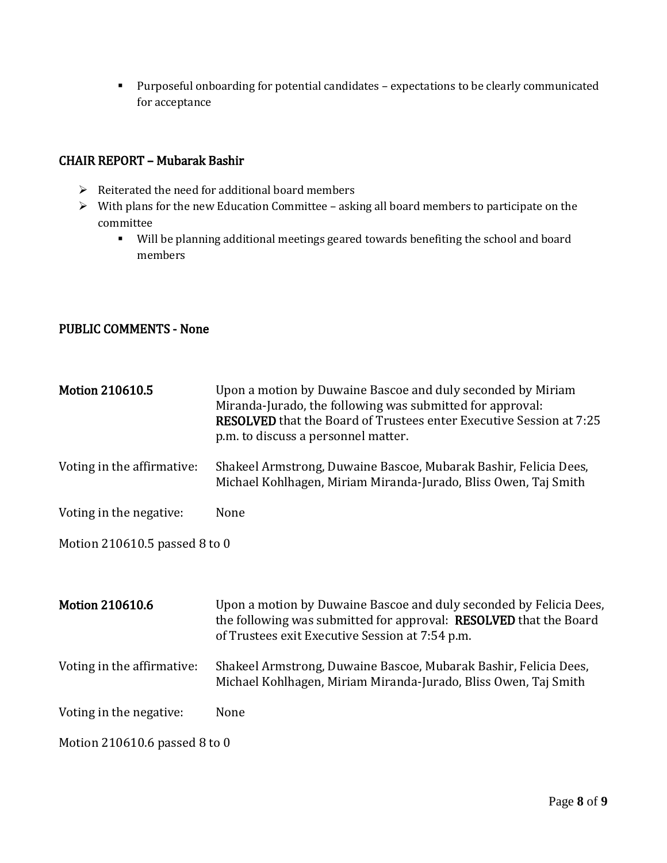Purposeful onboarding for potential candidates – expectations to be clearly communicated for acceptance

#### CHAIR REPORT – Mubarak Bashir

- $\triangleright$  Reiterated the need for additional board members
- With plans for the new Education Committee asking all board members to participate on the committee
	- Will be planning additional meetings geared towards benefiting the school and board members

## PUBLIC COMMENTS - None

| <b>Motion 210610.5</b>        | Upon a motion by Duwaine Bascoe and duly seconded by Miriam<br>Miranda-Jurado, the following was submitted for approval:<br><b>RESOLVED</b> that the Board of Trustees enter Executive Session at 7:25<br>p.m. to discuss a personnel matter. |
|-------------------------------|-----------------------------------------------------------------------------------------------------------------------------------------------------------------------------------------------------------------------------------------------|
| Voting in the affirmative:    | Shakeel Armstrong, Duwaine Bascoe, Mubarak Bashir, Felicia Dees,<br>Michael Kohlhagen, Miriam Miranda-Jurado, Bliss Owen, Taj Smith                                                                                                           |
| Voting in the negative:       | None                                                                                                                                                                                                                                          |
| Motion 210610.5 passed 8 to 0 |                                                                                                                                                                                                                                               |
|                               |                                                                                                                                                                                                                                               |
| <b>Motion 210610.6</b>        | Upon a motion by Duwaine Bascoe and duly seconded by Felicia Dees,<br>the following was submitted for approval: <b>RESOLVED</b> that the Board<br>of Trustees exit Executive Session at 7:54 p.m.                                             |
| Voting in the affirmative:    | Shakeel Armstrong, Duwaine Bascoe, Mubarak Bashir, Felicia Dees,<br>Michael Kohlhagen, Miriam Miranda-Jurado, Bliss Owen, Taj Smith                                                                                                           |
| Voting in the negative:       | None                                                                                                                                                                                                                                          |
| Motion 210610.6 passed 8 to 0 |                                                                                                                                                                                                                                               |